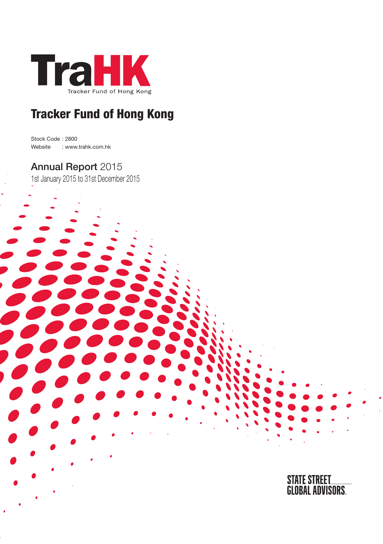

Stock Code : 2800 Website : www.trahk.com.hk

## Annual Report 2015

1st January 2015 to 31st December 2015



STATE STREET<br>Global Advisors.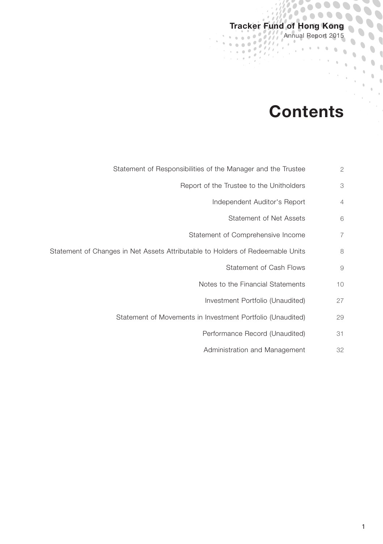## Tracker Fund of Hong Kong Annual Report 2015

 $\epsilon''$ ä

 $\partial \mathcal{H}$  $\overline{a}$  $\frac{1}{2}$  ,  $\frac{1}{2}$ 

 $\overline{\mathcal{E}}$ r i  $\theta$ 

÷.

ò

## **Contents**

 $0.0000000$ 

 $\bullet$   $\bar{\bullet}$ 

 $\sum_{i=1}^{n}$ 

 $\bar{0}$  $\hat{a}$ 

- Statement of Responsibilities of the Manager and the Trustee 2
	- Report of the Trustee to the Unitholders 3
		- Independent Auditor's Report 4
			- Statement of Net Assets 6
		- Statement of Comprehensive Income 7
- Statement of Changes in Net Assets Attributable to Holders of Redeemable Units 8
	- Statement of Cash Flows 9
	- Notes to the Financial Statements 10
		- Investment Portfolio (Unaudited) 27
	- Statement of Movements in Investment Portfolio (Unaudited) 29
		- Performance Record (Unaudited) 31
		- Administration and Management 32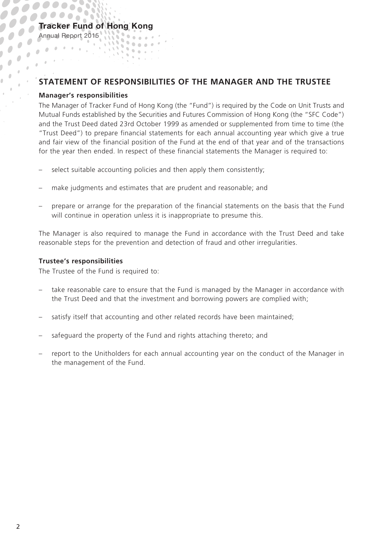## **STATEMENT OF RESPONSIBILITIES OF THE MANAGER AND THE TRUSTEE**

#### **Manager's responsibilities**

Annual Report 2015

 $\frac{1}{2}$ 

 $\mathbf{r}$  $\frac{1}{2}$  .  $\bar{\theta}$ 

> The Manager of Tracker Fund of Hong Kong (the "Fund") is required by the Code on Unit Trusts and Mutual Funds established by the Securities and Futures Commission of Hong Kong (the "SFC Code") and the Trust Deed dated 23rd October 1999 as amended or supplemented from time to time (the "Trust Deed") to prepare financial statements for each annual accounting year which give a true and fair view of the financial position of the Fund at the end of that year and of the transactions for the year then ended. In respect of these financial statements the Manager is required to:

select suitable accounting policies and then apply them consistently;

 $\mathbf{v} = \mathbf{v} \cdot \mathbf{v}$ 

 $\mathbf{u}$ **MARKET** 

- make judgments and estimates that are prudent and reasonable; and
- prepare or arrange for the preparation of the financial statements on the basis that the Fund will continue in operation unless it is inappropriate to presume this.

The Manager is also required to manage the Fund in accordance with the Trust Deed and take reasonable steps for the prevention and detection of fraud and other irregularities.

#### **Trustee's responsibilities**

The Trustee of the Fund is required to:

- take reasonable care to ensure that the Fund is managed by the Manager in accordance with the Trust Deed and that the investment and borrowing powers are complied with;
- satisfy itself that accounting and other related records have been maintained;
- safeguard the property of the Fund and rights attaching thereto; and
- report to the Unitholders for each annual accounting year on the conduct of the Manager in the management of the Fund.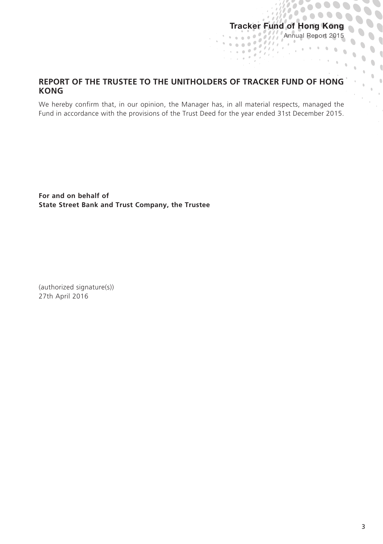ò

 $\mathcal{O}(\mathcal{F})$ 

 $\mathcal{N}_{\mathcal{F}}$ 

 $\mathcal{A}$ 

 $\lambda$ 

 $1000000000$ 

्र

 $\overline{1}$ 

í  $\mathbf{v}_{\rm eff}$  $\ddot{\phantom{0}}$  $\mathbf{r}$ 

 $\ddot{\phantom{a}}$ 

 $\bullet$   $\frac{1}{2}$ 

## **REPORT OF THE TRUSTEE TO THE UNITHOLDERS OF TRACKER FUND OF HONG KONG**

We hereby confirm that, in our opinion, the Manager has, in all material respects, managed the Fund in accordance with the provisions of the Trust Deed for the year ended 31st December 2015.

**For and on behalf of State Street Bank and Trust Company, the Trustee**

(authorized signature(s)) 27th April 2016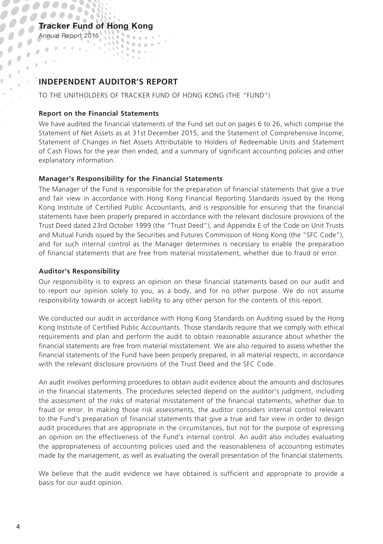### Tracker Fund of Hong Kong  $\mathbf{S} = \mathbf{S} \times \mathbf{S}$

Annual Report 2015

 $\overline{\phantom{a}}$  $\frac{1}{2}$  $\mathbf{r}$ 

 $\bar{\theta}$  $\alpha$ 

 $\overline{\phantom{a}}$  $\overline{\phantom{a}}$ 

## **INDEPENDENT AUDITOR'S REPORT**

 $\mathbb{Q}_2$ **STATISTIC** 

TO THE UNITHOLDERS OF TRACKER FUND OF HONG KONG (THE "FUND")

#### **Report on the Financial Statements**

We have audited the financial statements of the Fund set out on pages 6 to 26, which comprise the Statement of Net Assets as at 31st December 2015, and the Statement of Comprehensive Income, Statement of Changes in Net Assets Attributable to Holders of Redeemable Units and Statement of Cash Flows for the year then ended, and a summary of significant accounting policies and other explanatory information.

#### **Manager's Responsibility for the Financial Statements**

The Manager of the Fund is responsible for the preparation of financial statements that give a true and fair view in accordance with Hong Kong Financial Reporting Standards issued by the Hong Kong Institute of Certified Public Accountants, and is responsible for ensuring that the financial statements have been properly prepared in accordance with the relevant disclosure provisions of the Trust Deed dated 23rd October 1999 (the "Trust Deed"), and Appendix E of the Code on Unit Trusts and Mutual Funds issued by the Securities and Futures Commission of Hong Kong (the "SFC Code"), and for such internal control as the Manager determines is necessary to enable the preparation of financial statements that are free from material misstatement, whether due to fraud or error.

#### **Auditor's Responsibility**

Our responsibility is to express an opinion on these financial statements based on our audit and to report our opinion solely to you, as a body, and for no other purpose. We do not assume responsibility towards or accept liability to any other person for the contents of this report.

We conducted our audit in accordance with Hong Kong Standards on Auditing issued by the Hong Kong Institute of Certified Public Accountants. Those standards require that we comply with ethical requirements and plan and perform the audit to obtain reasonable assurance about whether the financial statements are free from material misstatement. We are also required to assess whether the financial statements of the Fund have been properly prepared, in all material respects, in accordance with the relevant disclosure provisions of the Trust Deed and the SFC Code.

An audit involves performing procedures to obtain audit evidence about the amounts and disclosures in the financial statements. The procedures selected depend on the auditor's judgment, including the assessment of the risks of material misstatement of the financial statements, whether due to fraud or error. In making those risk assessments, the auditor considers internal control relevant to the Fund's preparation of financial statements that give a true and fair view in order to design audit procedures that are appropriate in the circumstances, but not for the purpose of expressing an opinion on the effectiveness of the Fund's internal control. An audit also includes evaluating the appropriateness of accounting policies used and the reasonableness of accounting estimates made by the management, as well as evaluating the overall presentation of the financial statements.

We believe that the audit evidence we have obtained is sufficient and appropriate to provide a basis for our audit opinion.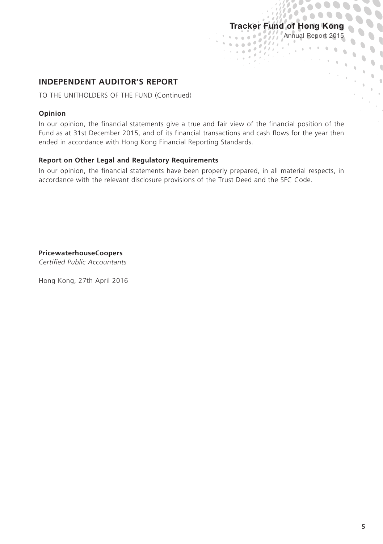$\overline{a}$ 

 $\frac{1}{2}$  ,  $\frac{1}{2}$  ,  $\frac{1}{2}$  ,  $\frac{1}{2}$  ,  $\frac{1}{2}$  ,  $\frac{1}{2}$  ,  $\frac{1}{2}$ 

 $\sim$ 

 $\overline{\ell}$  ,  $\theta$ 

 $1000000000$ 

 $\alpha$ 

 $\ddot{\phantom{a}}$ 

 $\mathbf{v}_0$ 

 $\mathbf 0$  $\begin{array}{c} \bullet \\ \bullet \end{array}$ 

 $\overline{1}$ 

## **INDEPENDENT AUDITOR'S REPORT**

TO THE UNITHOLDERS OF THE FUND (Continued)

#### **Opinion**

In our opinion, the financial statements give a true and fair view of the financial position of the Fund as at 31st December 2015, and of its financial transactions and cash flows for the year then ended in accordance with Hong Kong Financial Reporting Standards.

#### **Report on Other Legal and Regulatory Requirements**

In our opinion, the financial statements have been properly prepared, in all material respects, in accordance with the relevant disclosure provisions of the Trust Deed and the SFC Code.

**PricewaterhouseCoopers**

*Certified Public Accountants*

Hong Kong, 27th April 2016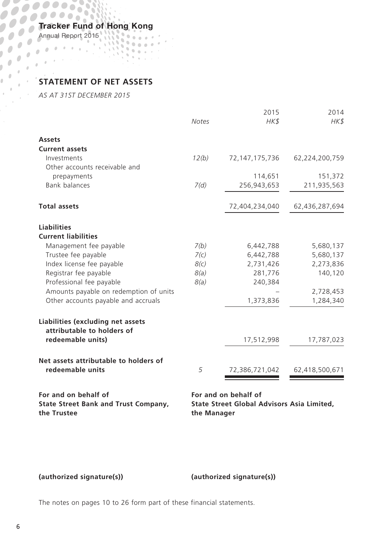Annual Report 2015

 $\overline{1}$ 

# **STATEMENT OF NET ASSETS**

*AS AT 31ST DECEMBER 2015*

|                                                                 | <b>Notes</b> | 2015<br>HK\$                      | 2014<br>HK\$   |
|-----------------------------------------------------------------|--------------|-----------------------------------|----------------|
| <b>Assets</b>                                                   |              |                                   |                |
| <b>Current assets</b>                                           |              |                                   |                |
| Investments                                                     | 12(b)        | 72,147,175,736                    | 62,224,200,759 |
| Other accounts receivable and                                   |              |                                   |                |
| prepayments                                                     |              | 114,651                           | 151,372        |
| <b>Bank balances</b>                                            | 7(d)         | 256,943,653                       | 211,935,563    |
| <b>Total assets</b>                                             |              | 72,404,234,040                    | 62,436,287,694 |
| <b>Liabilities</b>                                              |              |                                   |                |
| <b>Current liabilities</b>                                      |              |                                   |                |
| Management fee payable                                          | 7(b)         | 6,442,788                         | 5,680,137      |
| Trustee fee payable                                             | 7(c)         | 6,442,788                         | 5,680,137      |
| Index license fee payable                                       | 8(c)         | 2,731,426                         | 2,273,836      |
| Registrar fee payable                                           | 8(a)         | 281,776                           | 140,120        |
| Professional fee payable                                        | 8(a)         | 240,384                           |                |
| Amounts payable on redemption of units                          |              |                                   | 2,728,453      |
| Other accounts payable and accruals                             |              | 1,373,836                         | 1,284,340      |
| Liabilities (excluding net assets<br>attributable to holders of |              |                                   |                |
| redeemable units)                                               |              | 17,512,998                        | 17,787,023     |
| Net assets attributable to holders of                           |              |                                   |                |
| redeemable units                                                | 5            | 72,386,721,042                    | 62,418,500,671 |
| المتركا والمتارين والمترور وروالا                               |              | المتركا والمحاربين المحرور وروالا |                |

**For and on behalf of For and on behalf of State Street Bank and Trust Company, the Trustee**

**State Street Global Advisors Asia Limited, the Manager**

**(authorized signature(s)) (authorized signature(s))**

The notes on pages 10 to 26 form part of these financial statements.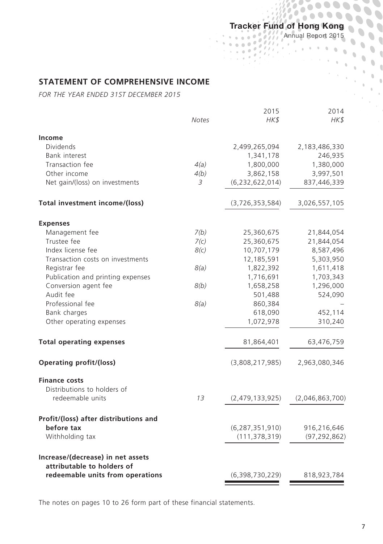Annual Report 2015

 $\mathbf{0}$  $\hat{0}$  $\alpha$  $\lambda$ 

## **STATEMENT OF COMPREHENSIVE INCOME**

*FOR THE YEAR ENDED 31ST DECEMBER 2015*

|                                                                | Notes | 2015<br>HK\$       | 2014<br>HK\$    |
|----------------------------------------------------------------|-------|--------------------|-----------------|
| Income                                                         |       |                    |                 |
| Dividends                                                      |       | 2,499,265,094      | 2,183,486,330   |
| <b>Bank interest</b>                                           |       | 1,341,178          | 246,935         |
| Transaction fee                                                | 4(a)  | 1,800,000          | 1,380,000       |
| Other income                                                   | 4(b)  | 3,862,158          | 3,997,501       |
| Net gain/(loss) on investments                                 | 3     | (6, 232, 622, 014) | 837,446,339     |
| Total investment income/(loss)                                 |       | (3,726,353,584)    | 3,026,557,105   |
| <b>Expenses</b>                                                |       |                    |                 |
| Management fee                                                 | 7(b)  | 25,360,675         | 21,844,054      |
| Trustee fee                                                    | 7(c)  | 25,360,675         | 21,844,054      |
| Index license fee                                              | 8(c)  | 10,707,179         | 8,587,496       |
| Transaction costs on investments                               |       | 12,185,591         | 5,303,950       |
| Registrar fee                                                  | 8(a)  | 1,822,392          | 1,611,418       |
| Publication and printing expenses                              |       | 1,716,691          | 1,703,343       |
| Conversion agent fee                                           | 8(b)  | 1,658,258          | 1,296,000       |
| Audit fee                                                      |       | 501,488            | 524,090         |
| Professional fee                                               | 8(a)  | 860,384            |                 |
| Bank charges                                                   |       | 618,090            | 452,114         |
| Other operating expenses                                       |       | 1,072,978          | 310,240         |
| <b>Total operating expenses</b>                                |       | 81,864,401         | 63,476,759      |
| Operating profit/(loss)                                        |       | (3,808,217,985)    | 2,963,080,346   |
| <b>Finance costs</b>                                           |       |                    |                 |
| Distributions to holders of                                    |       |                    |                 |
| redeemable units                                               | 13    | (2,479,133,925)    | (2,046,863,700) |
| Profit/(loss) after distributions and                          |       |                    |                 |
| before tax                                                     |       | (6, 287, 351, 910) | 916,216,646     |
| Withholding tax                                                |       | (111, 378, 319)    | (97, 292, 862)  |
| Increase/(decrease) in net assets                              |       |                    |                 |
| attributable to holders of<br>redeemable units from operations |       | (6,398,730,229)    | 818,923,784     |

The notes on pages 10 to 26 form part of these financial statements.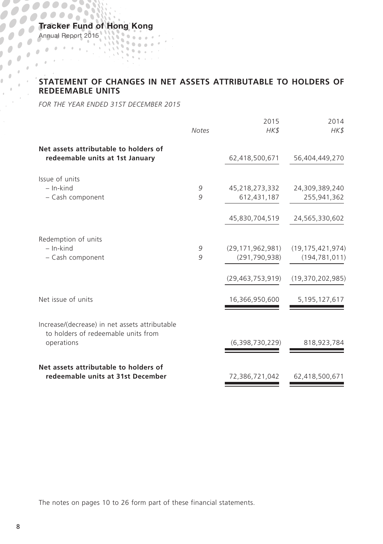Annual Report 2015

## **STATEMENT OF CHANGES IN NET ASSETS ATTRIBUTABLE TO HOLDERS OF REDEFMARLE LINUTE REDEEMABLE UNITS**

*FOR THE YEAR ENDED 31ST DECEMBER 2015*

|                                                                                       |              | 2015                | 2014                |
|---------------------------------------------------------------------------------------|--------------|---------------------|---------------------|
|                                                                                       | <b>Notes</b> | HK\$                | HK\$                |
| Net assets attributable to holders of<br>redeemable units at 1st January              |              | 62,418,500,671      | 56,404,449,270      |
|                                                                                       |              |                     |                     |
| Issue of units                                                                        |              |                     |                     |
| $-$ In-kind                                                                           | 9            | 45,218,273,332      | 24,309,389,240      |
| - Cash component                                                                      | 9            | 612,431,187         | 255,941,362         |
|                                                                                       |              | 45,830,704,519      | 24,565,330,602      |
| Redemption of units                                                                   |              |                     |                     |
| $-$ In-kind                                                                           | 9            | (29, 171, 962, 981) | (19, 175, 421, 974) |
| - Cash component                                                                      | 9            | (291, 790, 938)     | (194, 781, 011)     |
|                                                                                       |              | (29, 463, 753, 919) | (19,370,202,985)    |
| Net issue of units                                                                    |              | 16,366,950,600      | 5, 195, 127, 617    |
|                                                                                       |              |                     |                     |
| Increase/(decrease) in net assets attributable<br>to holders of redeemable units from |              |                     |                     |
| operations                                                                            |              | (6,398,730,229)     | 818,923,784         |
| Net assets attributable to holders of                                                 |              |                     |                     |
| redeemable units at 31st December                                                     |              | 72,386,721,042      | 62,418,500,671      |

The notes on pages 10 to 26 form part of these financial statements.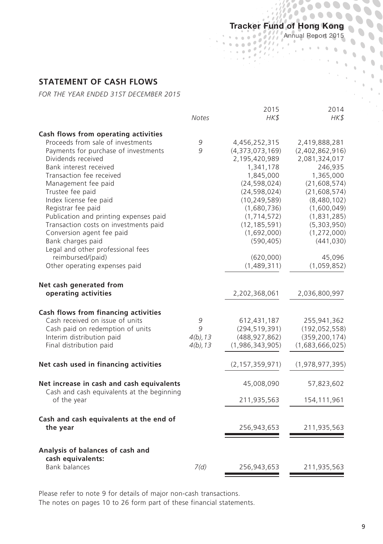77,  $\hat{\boldsymbol{\sigma}}$ 

÷.  $\overline{a}$  'n ò

#### Annual Report 2015

 $\mathbf{S}$ 

 $\hat{\mathbf{U}}$  $\hat{0}$  $\lambda$ 

## **STATEMENT OF CASH FLOWS**

*FOR THE YEAR ENDED 31ST DECEMBER 2015*

|                                                                                                                                                                                                                                                                                                                                                                                                                                                                                  | Notes                                | 2015<br>HK\$                                                                                                                                                                                                                                 | 2014<br>HK\$                                                                                                                                                                                                                    |
|----------------------------------------------------------------------------------------------------------------------------------------------------------------------------------------------------------------------------------------------------------------------------------------------------------------------------------------------------------------------------------------------------------------------------------------------------------------------------------|--------------------------------------|----------------------------------------------------------------------------------------------------------------------------------------------------------------------------------------------------------------------------------------------|---------------------------------------------------------------------------------------------------------------------------------------------------------------------------------------------------------------------------------|
| Cash flows from operating activities                                                                                                                                                                                                                                                                                                                                                                                                                                             |                                      |                                                                                                                                                                                                                                              |                                                                                                                                                                                                                                 |
| Proceeds from sale of investments<br>Payments for purchase of investments<br>Dividends received<br>Bank interest received<br>Transaction fee received<br>Management fee paid<br>Trustee fee paid<br>Index license fee paid<br>Registrar fee paid<br>Publication and printing expenses paid<br>Transaction costs on investments paid<br>Conversion agent fee paid<br>Bank charges paid<br>Legal and other professional fees<br>reimbursed/(paid)<br>Other operating expenses paid | 9<br>9                               | 4,456,252,315<br>(4,373,073,169)<br>2,195,420,989<br>1,341,178<br>1,845,000<br>(24, 598, 024)<br>(24, 598, 024)<br>(10, 249, 589)<br>(1,680,736)<br>(1, 714, 572)<br>(12, 185, 591)<br>(1,692,000)<br>(590, 405)<br>(620,000)<br>(1,489,311) | 2,419,888,281<br>(2,402,862,916)<br>2,081,324,017<br>246,935<br>1,365,000<br>(21,608,574)<br>(21, 608, 574)<br>(8,480,102)<br>(1,600,049)<br>(1,831,285)<br>(5,303,950)<br>(1, 272, 000)<br>(441, 030)<br>45,096<br>(1,059,852) |
| Net cash generated from<br>operating activities                                                                                                                                                                                                                                                                                                                                                                                                                                  |                                      | 2,202,368,061                                                                                                                                                                                                                                | 2,036,800,997                                                                                                                                                                                                                   |
| Cash flows from financing activities<br>Cash received on issue of units<br>Cash paid on redemption of units<br>Interim distribution paid<br>Final distribution paid                                                                                                                                                                                                                                                                                                              | 9<br>9<br>$4(b)$ , 13<br>$4(b)$ , 13 | 612,431,187<br>(294, 519, 391)<br>(488, 927, 862)<br>(1,986,343,905)                                                                                                                                                                         | 255,941,362<br>(192, 052, 558)<br>(359, 200, 174)<br>(1,683,666,025)                                                                                                                                                            |
| Net cash used in financing activities                                                                                                                                                                                                                                                                                                                                                                                                                                            |                                      | (2, 157, 359, 971)                                                                                                                                                                                                                           | (1,978,977,395)                                                                                                                                                                                                                 |
| Net increase in cash and cash equivalents<br>Cash and cash equivalents at the beginning<br>of the year                                                                                                                                                                                                                                                                                                                                                                           |                                      | 45,008,090<br>211,935,563                                                                                                                                                                                                                    | 57,823,602<br>154,111,961                                                                                                                                                                                                       |
| Cash and cash equivalents at the end of<br>the year                                                                                                                                                                                                                                                                                                                                                                                                                              |                                      | 256,943,653                                                                                                                                                                                                                                  | 211,935,563                                                                                                                                                                                                                     |
| Analysis of balances of cash and<br>cash equivalents:<br><b>Bank balances</b>                                                                                                                                                                                                                                                                                                                                                                                                    | 7(d)                                 | 256,943,653                                                                                                                                                                                                                                  | 211,935,563                                                                                                                                                                                                                     |

Please refer to note 9 for details of major non-cash transactions. The notes on pages 10 to 26 form part of these financial statements.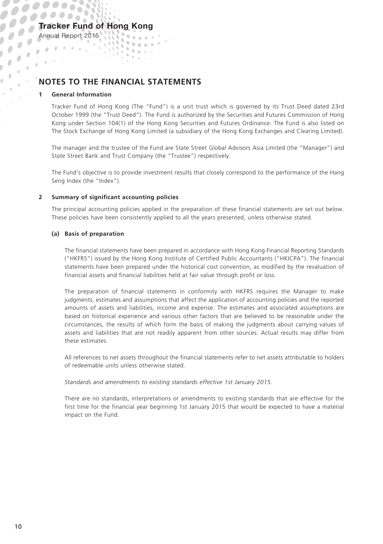## **NOTES TO THE FINANCIAL STATEMENTS**

 $\mathbf{u}$ **STATISTIC**  $\alpha$ 

 $\mathbf{v} = \mathbf{v} \cdot \mathbf{v}$ 

#### **1 General Information**

Annual Report 2015

 $\mathbf{r}$  $\frac{1}{\sqrt{2}}$  $\bar{\theta}$ 

> Tracker Fund of Hong Kong (The "Fund") is a unit trust which is governed by its Trust Deed dated 23rd October 1999 (the "Trust Deed"). The Fund is authorized by the Securities and Futures Commission of Hong Kong under Section 104(1) of the Hong Kong Securities and Futures Ordinance. The Fund is also listed on The Stock Exchange of Hong Kong Limited (a subsidiary of the Hong Kong Exchanges and Clearing Limited).

> The manager and the trustee of the Fund are State Street Global Advisors Asia Limited (the "Manager") and State Street Bank and Trust Company (the "Trustee") respectively.

> The Fund's objective is to provide investment results that closely correspond to the performance of the Hang Seng Index (the "Index").

#### **2 Summary of significant accounting policies**

The principal accounting policies applied in the preparation of these financial statements are set out below. These policies have been consistently applied to all the years presented, unless otherwise stated.

#### **(a) Basis of preparation**

The financial statements have been prepared in accordance with Hong Kong Financial Reporting Standards ("HKFRS") issued by the Hong Kong Institute of Certified Public Accountants ("HKICPA"). The financial statements have been prepared under the historical cost convention, as modified by the revaluation of financial assets and financial liabilities held at fair value through profit or loss.

The preparation of financial statements in conformity with HKFRS requires the Manager to make judgments, estimates and assumptions that affect the application of accounting policies and the reported amounts of assets and liabilities, income and expense. The estimates and associated assumptions are based on historical experience and various other factors that are believed to be reasonable under the circumstances, the results of which form the basis of making the judgments about carrying values of assets and liabilities that are not readily apparent from other sources. Actual results may differ from these estimates.

All references to net assets throughout the financial statements refer to net assets attributable to holders of redeemable units unless otherwise stated.

*Standards and amendments to existing standards effective 1st January 2015.*

There are no standards, interpretations or amendments to existing standards that are effective for the first time for the financial year beginning 1st January 2015 that would be expected to have a material impact on the Fund.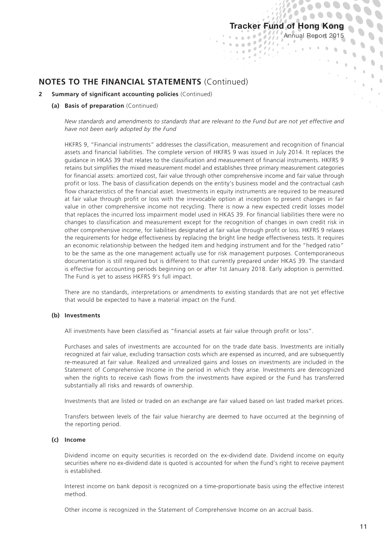$\overline{\mathcal{U}}$ 

 $\mathcal{N}_{\mathcal{F}}$ 

 $\overline{\ell}$  ,

Annual Report 2015

 $\frac{1}{2}$  $\hat{0}$ 

## **NOTES TO THE FINANCIAL STATEMENTS** (Continued)

#### **2 Summary of significant accounting policies** (Continued)

#### **(a) Basis of preparation** (Continued)

*New standards and amendments to standards that are relevant to the Fund but are not yet effective and have not been early adopted by the Fund*

 $_{\rm s}$   $\sim$ 

HKFRS 9, "Financial instruments" addresses the classification, measurement and recognition of financial assets and financial liabilities. The complete version of HKFRS 9 was issued in July 2014. It replaces the guidance in HKAS 39 that relates to the classification and measurement of financial instruments. HKFRS 9 retains but simplifies the mixed measurement model and establishes three primary measurement categories for financial assets: amortized cost, fair value through other comprehensive income and fair value through profit or loss. The basis of classification depends on the entity's business model and the contractual cash flow characteristics of the financial asset. Investments in equity instruments are required to be measured at fair value through profit or loss with the irrevocable option at inception to present changes in fair value in other comprehensive income not recycling. There is now a new expected credit losses model that replaces the incurred loss impairment model used in HKAS 39. For financial liabilities there were no changes to classification and measurement except for the recognition of changes in own credit risk in other comprehensive income, for liabilities designated at fair value through profit or loss. HKFRS 9 relaxes the requirements for hedge effectiveness by replacing the bright line hedge effectiveness tests. It requires an economic relationship between the hedged item and hedging instrument and for the "hedged ratio" to be the same as the one management actually use for risk management purposes. Contemporaneous documentation is still required but is different to that currently prepared under HKAS 39. The standard is effective for accounting periods beginning on or after 1st January 2018. Early adoption is permitted. The Fund is yet to assess HKFRS 9's full impact.

There are no standards, interpretations or amendments to existing standards that are not yet effective that would be expected to have a material impact on the Fund.

#### **(b) Investments**

All investments have been classified as "financial assets at fair value through profit or loss".

Purchases and sales of investments are accounted for on the trade date basis. Investments are initially recognized at fair value, excluding transaction costs which are expensed as incurred, and are subsequently re-measured at fair value. Realized and unrealized gains and losses on investments are included in the Statement of Comprehensive Income in the period in which they arise. Investments are derecognized when the rights to receive cash flows from the investments have expired or the Fund has transferred substantially all risks and rewards of ownership.

Investments that are listed or traded on an exchange are fair valued based on last traded market prices.

Transfers between levels of the fair value hierarchy are deemed to have occurred at the beginning of the reporting period.

#### **(c) Income**

Dividend income on equity securities is recorded on the ex-dividend date. Dividend income on equity securities where no ex-dividend date is quoted is accounted for when the Fund's right to receive payment is established.

Interest income on bank deposit is recognized on a time-proportionate basis using the effective interest method.

Other income is recognized in the Statement of Comprehensive Income on an accrual basis.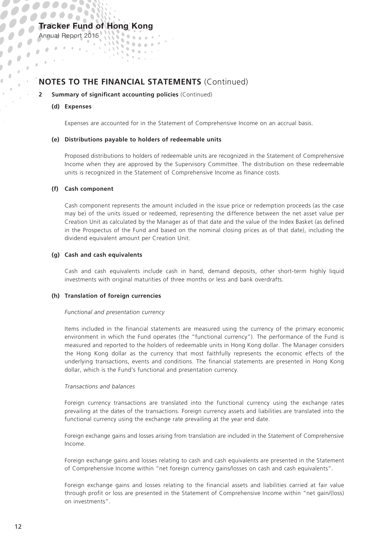## **NOTES TO THE FINANCIAL STATEMENTS** (Continued)

 $\mathbf{v} = \mathbf{v} \cdot \mathbf{v}$ 

#### **2 Summary of significant accounting policies** (Continued)

 $\mathbf{u}$ **STATISTICS** 

#### **(d) Expenses**

Annual Report 2015

 $\begin{pmatrix} 0 & 0 \\ 0 & 0 \end{pmatrix}$  $\frac{1}{2}$  .  $\lambda$ 

Expenses are accounted for in the Statement of Comprehensive Income on an accrual basis.

#### **(e) Distributions payable to holders of redeemable units**

Proposed distributions to holders of redeemable units are recognized in the Statement of Comprehensive Income when they are approved by the Supervisory Committee. The distribution on these redeemable units is recognized in the Statement of Comprehensive Income as finance costs.

#### **(f) Cash component**

Cash component represents the amount included in the issue price or redemption proceeds (as the case may be) of the units issued or redeemed, representing the difference between the net asset value per Creation Unit as calculated by the Manager as of that date and the value of the Index Basket (as defined in the Prospectus of the Fund and based on the nominal closing prices as of that date), including the dividend equivalent amount per Creation Unit.

#### **(g) Cash and cash equivalents**

Cash and cash equivalents include cash in hand, demand deposits, other short-term highly liquid investments with original maturities of three months or less and bank overdrafts.

#### **(h) Translation of foreign currencies**

#### *Functional and presentation currency*

Items included in the financial statements are measured using the currency of the primary economic environment in which the Fund operates (the "functional currency"). The performance of the Fund is measured and reported to the holders of redeemable units in Hong Kong dollar. The Manager considers the Hong Kong dollar as the currency that most faithfully represents the economic effects of the underlying transactions, events and conditions. The financial statements are presented in Hong Kong dollar, which is the Fund's functional and presentation currency.

#### *Transactions and balances*

Foreign currency transactions are translated into the functional currency using the exchange rates prevailing at the dates of the transactions. Foreign currency assets and liabilities are translated into the functional currency using the exchange rate prevailing at the year end date.

Foreign exchange gains and losses arising from translation are included in the Statement of Comprehensive Income.

Foreign exchange gains and losses relating to cash and cash equivalents are presented in the Statement of Comprehensive Income within "net foreign currency gains/losses on cash and cash equivalents".

Foreign exchange gains and losses relating to the financial assets and liabilities carried at fair value through profit or loss are presented in the Statement of Comprehensive Income within "net gain/(loss) on investments".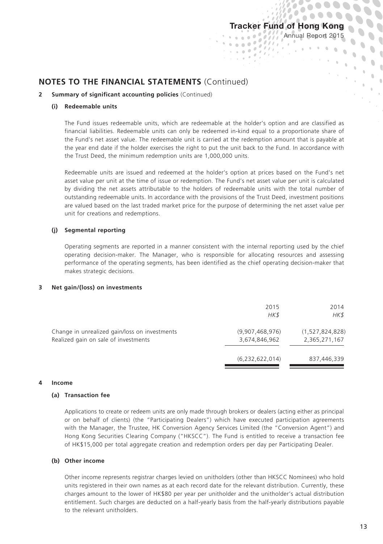$1.000$  $\overline{a}$ i i biog

 $_{\rm s}$   $\rightarrow$ 

Annual Report 2015

ò

 $\mathcal{F}_{\mathcal{A}}$  $\ddot{\phantom{a}}$ 

### **NOTES TO THE FINANCIAL STATEMENTS** (Continued)

#### **2 Summary of significant accounting policies** (Continued)

#### **(i) Redeemable units**

The Fund issues redeemable units, which are redeemable at the holder's option and are classified as financial liabilities. Redeemable units can only be redeemed in-kind equal to a proportionate share of the Fund's net asset value. The redeemable unit is carried at the redemption amount that is payable at the year end date if the holder exercises the right to put the unit back to the Fund. In accordance with the Trust Deed, the minimum redemption units are 1,000,000 units.

Redeemable units are issued and redeemed at the holder's option at prices based on the Fund's net asset value per unit at the time of issue or redemption. The Fund's net asset value per unit is calculated by dividing the net assets attributable to the holders of redeemable units with the total number of outstanding redeemable units. In accordance with the provisions of the Trust Deed, investment positions are valued based on the last traded market price for the purpose of determining the net asset value per unit for creations and redemptions.

#### **(j) Segmental reporting**

Operating segments are reported in a manner consistent with the internal reporting used by the chief operating decision-maker. The Manager, who is responsible for allocating resources and assessing performance of the operating segments, has been identified as the chief operating decision-maker that makes strategic decisions.

#### **3 Net gain/(loss) on investments**

|                                                                                       | 2015<br>HK\$                     | 2014<br>HK\$                     |
|---------------------------------------------------------------------------------------|----------------------------------|----------------------------------|
| Change in unrealized gain/loss on investments<br>Realized gain on sale of investments | (9,907,468,976)<br>3,674,846,962 | (1,527,824,828)<br>2,365,271,167 |
|                                                                                       | (6, 232, 622, 014)               | 837,446,339                      |

#### **4 Income**

#### **(a) Transaction fee**

Applications to create or redeem units are only made through brokers or dealers (acting either as principal or on behalf of clients) (the "Participating Dealers") which have executed participation agreements with the Manager, the Trustee, HK Conversion Agency Services Limited (the "Conversion Agent") and Hong Kong Securities Clearing Company ("HKSCC"). The Fund is entitled to receive a transaction fee of HK\$15,000 per total aggregate creation and redemption orders per day per Participating Dealer.

#### **(b) Other income**

Other income represents registrar charges levied on unitholders (other than HKSCC Nominees) who hold units registered in their own names as at each record date for the relevant distribution. Currently, these charges amount to the lower of HK\$80 per year per unitholder and the unitholder's actual distribution entitlement. Such charges are deducted on a half-yearly basis from the half-yearly distributions payable to the relevant unitholders.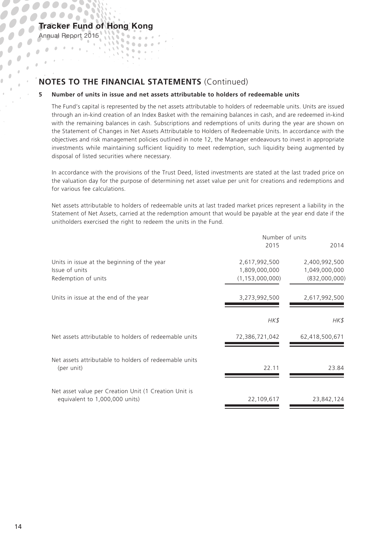Annual Report 2015

ñ

 $\alpha$ 

 $\bar{\theta}$  $\theta$ 

 $\bar{\theta}$ 

 $\frac{1}{2}$ 

 $\overline{\phantom{a}}$  $\mathbf{r}$ 

## **NOTES TO THE FINANCIAL STATEMENTS** (Continued)

 $\mathbf{v} = \mathbf{v} \cdot \mathbf{v}$ 

gaar I  $\bar{a}$ 

 $\mathbf{u}$ 

#### **5 Number of units in issue and net assets attributable to holders of redeemable units**

The Fund's capital is represented by the net assets attributable to holders of redeemable units. Units are issued through an in-kind creation of an Index Basket with the remaining balances in cash, and are redeemed in-kind with the remaining balances in cash. Subscriptions and redemptions of units during the year are shown on the Statement of Changes in Net Assets Attributable to Holders of Redeemable Units. In accordance with the objectives and risk management policies outlined in note 12, the Manager endeavours to invest in appropriate investments while maintaining sufficient liquidity to meet redemption, such liquidity being augmented by disposal of listed securities where necessary.

In accordance with the provisions of the Trust Deed, listed investments are stated at the last traded price on the valuation day for the purpose of determining net asset value per unit for creations and redemptions and for various fee calculations.

Net assets attributable to holders of redeemable units at last traded market prices represent a liability in the Statement of Net Assets, carried at the redemption amount that would be payable at the year end date if the unitholders exercised the right to redeem the units in the Fund.

|                                                                                         | Number of units    |                |
|-----------------------------------------------------------------------------------------|--------------------|----------------|
|                                                                                         | 2015               | 2014           |
| Units in issue at the beginning of the year                                             | 2,617,992,500      | 2,400,992,500  |
| Issue of units                                                                          | 1,809,000,000      | 1,049,000,000  |
| Redemption of units                                                                     | (1, 153, 000, 000) | (832,000,000)  |
| Units in issue at the end of the year                                                   | 3,273,992,500      | 2,617,992,500  |
|                                                                                         | HK\$               | HK\$           |
| Net assets attributable to holders of redeemable units                                  | 72,386,721,042     | 62,418,500,671 |
| Net assets attributable to holders of redeemable units<br>(per unit)                    | 22.11              | 23.84          |
| Net asset value per Creation Unit (1 Creation Unit is<br>equivalent to 1,000,000 units) | 22,109,617         | 23,842,124     |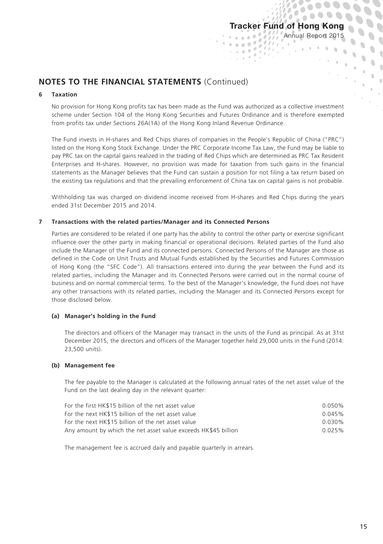$\overline{\ell}$  $\ell$  .

 $_{\rm s}$   $^{-1}$ 

Annual Report 2015

ò

 $0.00000000$ 

 $\sum_{i=1}^{n}$ 

 $\frac{1}{2}$  .  $\hat{0}$ 

## **NOTES TO THE FINANCIAL STATEMENTS** (Continued)

#### **6 Taxation**

No provision for Hong Kong profits tax has been made as the Fund was authorized as a collective investment scheme under Section 104 of the Hong Kong Securities and Futures Ordinance and is therefore exempted from profits tax under Sections 26A(1A) of the Hong Kong Inland Revenue Ordinance.

The Fund invests in H-shares and Red Chips shares of companies in the People's Republic of China ("PRC") listed on the Hong Kong Stock Exchange. Under the PRC Corporate Income Tax Law, the Fund may be liable to pay PRC tax on the capital gains realized in the trading of Red Chips which are determined as PRC Tax Resident Enterprises and H-shares. However, no provision was made for taxation from such gains in the financial statements as the Manager believes that the Fund can sustain a position for not filing a tax return based on the existing tax regulations and that the prevailing enforcement of China tax on capital gains is not probable.

Withholding tax was charged on dividend income received from H-shares and Red Chips during the years ended 31st December 2015 and 2014.

#### **7 Transactions with the related parties/Manager and its Connected Persons**

Parties are considered to be related if one party has the ability to control the other party or exercise significant influence over the other party in making financial or operational decisions. Related parties of the Fund also include the Manager of the Fund and its connected persons. Connected Persons of the Manager are those as defined in the Code on Unit Trusts and Mutual Funds established by the Securities and Futures Commission of Hong Kong (the "SFC Code"). All transactions entered into during the year between the Fund and its related parties, including the Manager and its Connected Persons were carried out in the normal course of business and on normal commercial terms. To the best of the Manager's knowledge, the Fund does not have any other transactions with its related parties, including the Manager and its Connected Persons except for those disclosed below.

#### **(a) Manager's holding in the Fund**

The directors and officers of the Manager may transact in the units of the Fund as principal. As at 31st December 2015, the directors and officers of the Manager together held 29,000 units in the Fund (2014: 23,500 units).

#### **(b) Management fee**

The fee payable to the Manager is calculated at the following annual rates of the net asset value of the Fund on the last dealing day in the relevant quarter:

| For the first HK\$15 billion of the net asset value            | $0.050\%$ |
|----------------------------------------------------------------|-----------|
| For the next HK\$15 billion of the net asset value             | 0.045%    |
| For the next HK\$15 billion of the net asset value             | $0.030\%$ |
| Any amount by which the net asset value exceeds HK\$45 billion | 0.025%    |

The management fee is accrued daily and payable quarterly in arrears.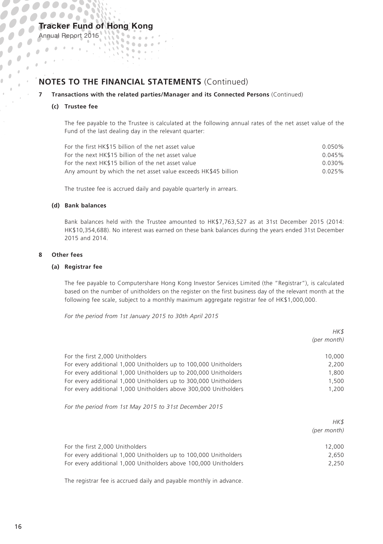### Tracker Fund of Hong Kong  $\mathbf{S} = \mathbf{S}$

## **NOTES TO THE FINANCIAL STATEMENTS** (Continued)

 $\mathbf{v} = \mathbf{v} \cdot \mathbf{v}$ 

gaar I

 $\mathbf{u}$ 

#### **7 Transactions with the related parties/Manager and its Connected Persons** (Continued)

#### **(c) Trustee fee**

Annual Report 2015

 $\mathbf{r}$  $\frac{1}{\sqrt{2}}$  $\cdot$ ÷

> The fee payable to the Trustee is calculated at the following annual rates of the net asset value of the Fund of the last dealing day in the relevant quarter:

| For the first HK\$15 billion of the net asset value            | $0.050\%$ |
|----------------------------------------------------------------|-----------|
| For the next HK\$15 billion of the net asset value             | 0.045%    |
| For the next HK\$15 billion of the net asset value             | $0.030\%$ |
| Any amount by which the net asset value exceeds HK\$45 billion | 0.025%    |

The trustee fee is accrued daily and payable quarterly in arrears.

#### **(d) Bank balances**

Bank balances held with the Trustee amounted to HK\$7,763,527 as at 31st December 2015 (2014: HK\$10,354,688). No interest was earned on these bank balances during the years ended 31st December 2015 and 2014.

#### **8 Other fees**

#### **(a) Registrar fee**

The fee payable to Computershare Hong Kong Investor Services Limited (the "Registrar"), is calculated based on the number of unitholders on the register on the first business day of the relevant month at the following fee scale, subject to a monthly maximum aggregate registrar fee of HK\$1,000,000.

*For the period from 1st January 2015 to 30th April 2015*

|                                                                                                                                                                                                                                                                                                                 | HK\$<br>(per month)                        |
|-----------------------------------------------------------------------------------------------------------------------------------------------------------------------------------------------------------------------------------------------------------------------------------------------------------------|--------------------------------------------|
| For the first 2,000 Unitholders<br>For every additional 1,000 Unitholders up to 100,000 Unitholders<br>For every additional 1,000 Unitholders up to 200,000 Unitholders<br>For every additional 1,000 Unitholders up to 300,000 Unitholders<br>For every additional 1,000 Unitholders above 300,000 Unitholders | 10,000<br>2,200<br>1,800<br>1,500<br>1,200 |
| For the period from 1st May 2015 to 31st December 2015                                                                                                                                                                                                                                                          |                                            |
|                                                                                                                                                                                                                                                                                                                 | HK\$<br>(per month)                        |
| For the first 2,000 Unitholders<br>For every additional 1,000 Unitholders up to 100,000 Unitholders<br>For every additional 1,000 Unitholders above 100,000 Unitholders                                                                                                                                         | 12,000<br>2,650<br>2,250                   |

The registrar fee is accrued daily and payable monthly in advance.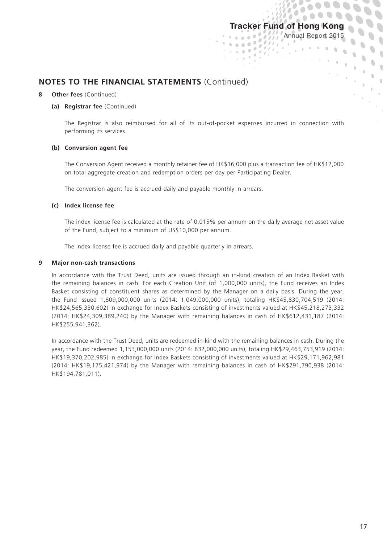Annual Report 2015

 $\frac{1}{2}$  $\hat{0}$ 

### **NOTES TO THE FINANCIAL STATEMENTS** (Continued)

#### *<u>Other fees (Continued)</u>*

#### **(a) Registrar fee** (Continued)

The Registrar is also reimbursed for all of its out-of-pocket expenses incurred in connection with performing its services.

 $\mathbf{v} = \mathbf{v} + \mathbf{v} + \mathbf{v}$ 

 $\overline{a}$ <u> 1999 - Jan</u>  $_{\rm s}$   $^{-1}$ 

#### **(b) Conversion agent fee**

The Conversion Agent received a monthly retainer fee of HK\$16,000 plus a transaction fee of HK\$12,000 on total aggregate creation and redemption orders per day per Participating Dealer.

The conversion agent fee is accrued daily and payable monthly in arrears.

#### **(c) Index license fee**

The index license fee is calculated at the rate of 0.015% per annum on the daily average net asset value of the Fund, subject to a minimum of US\$10,000 per annum.

The index license fee is accrued daily and payable quarterly in arrears.

#### **9 Major non-cash transactions**

In accordance with the Trust Deed, units are issued through an in-kind creation of an Index Basket with the remaining balances in cash. For each Creation Unit (of 1,000,000 units), the Fund receives an Index Basket consisting of constituent shares as determined by the Manager on a daily basis. During the year, the Fund issued 1,809,000,000 units (2014: 1,049,000,000 units), totaling HK\$45,830,704,519 (2014: HK\$24,565,330,602) in exchange for Index Baskets consisting of investments valued at HK\$45,218,273,332 (2014: HK\$24,309,389,240) by the Manager with remaining balances in cash of HK\$612,431,187 (2014: HK\$255,941,362).

In accordance with the Trust Deed, units are redeemed in-kind with the remaining balances in cash. During the year, the Fund redeemed 1,153,000,000 units (2014: 832,000,000 units), totaling HK\$29,463,753,919 (2014: HK\$19,370,202,985) in exchange for Index Baskets consisting of investments valued at HK\$29,171,962,981 (2014: HK\$19,175,421,974) by the Manager with remaining balances in cash of HK\$291,790,938 (2014: HK\$194,781,011).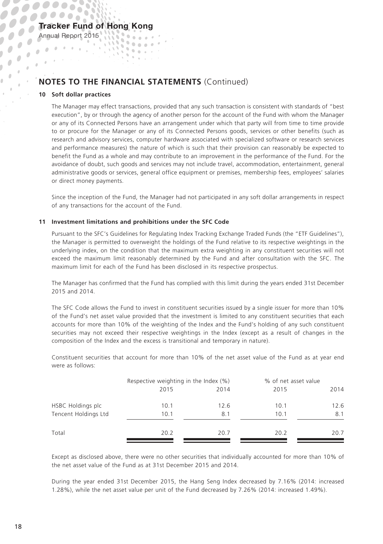## **NOTES TO THE FINANCIAL STATEMENTS** (Continued)

 $\mathbf{v} = \mathbf{v} \cdot \mathbf{v}$ 

**STATISTIC**  $\alpha$ 

 $\mathbb{Q}_2$ 

#### **10 Soft dollar practices**

Annual Report 2015

 $\mathbf{r}$  $\frac{1}{2}$  .  $\bar{\theta}$ 

> The Manager may effect transactions, provided that any such transaction is consistent with standards of "best execution", by or through the agency of another person for the account of the Fund with whom the Manager or any of its Connected Persons have an arrangement under which that party will from time to time provide to or procure for the Manager or any of its Connected Persons goods, services or other benefits (such as research and advisory services, computer hardware associated with specialized software or research services and performance measures) the nature of which is such that their provision can reasonably be expected to benefit the Fund as a whole and may contribute to an improvement in the performance of the Fund. For the avoidance of doubt, such goods and services may not include travel, accommodation, entertainment, general administrative goods or services, general office equipment or premises, membership fees, employees' salaries or direct money payments.

> Since the inception of the Fund, the Manager had not participated in any soft dollar arrangements in respect of any transactions for the account of the Fund.

#### **11 Investment limitations and prohibitions under the SFC Code**

Pursuant to the SFC's Guidelines for Regulating Index Tracking Exchange Traded Funds (the "ETF Guidelines"), the Manager is permitted to overweight the holdings of the Fund relative to its respective weightings in the underlying index, on the condition that the maximum extra weighting in any constituent securities will not exceed the maximum limit reasonably determined by the Fund and after consultation with the SFC. The maximum limit for each of the Fund has been disclosed in its respective prospectus.

The Manager has confirmed that the Fund has complied with this limit during the years ended 31st December 2015 and 2014.

The SFC Code allows the Fund to invest in constituent securities issued by a single issuer for more than 10% of the Fund's net asset value provided that the investment is limited to any constituent securities that each accounts for more than 10% of the weighting of the Index and the Fund's holding of any such constituent securities may not exceed their respective weightings in the Index (except as a result of changes in the composition of the Index and the excess is transitional and temporary in nature).

Constituent securities that account for more than 10% of the net asset value of the Fund as at year end were as follows:

|                      |      | Respective weighting in the Index (%) |      | % of net asset value |  |
|----------------------|------|---------------------------------------|------|----------------------|--|
|                      | 2015 | 2014                                  | 2015 | 2014                 |  |
| HSBC Holdings plc    | 10.1 | 12.6                                  | 10.1 | 12.6                 |  |
| Tencent Holdings Ltd | 10.1 | 8.1                                   | 10.1 | 8.1                  |  |
| Total                | 20.2 | 20.7                                  | 20.2 | 20.7                 |  |

Except as disclosed above, there were no other securities that individually accounted for more than 10% of the net asset value of the Fund as at 31st December 2015 and 2014.

During the year ended 31st December 2015, the Hang Seng Index decreased by 7.16% (2014: increased 1.28%), while the net asset value per unit of the Fund decreased by 7.26% (2014: increased 1.49%).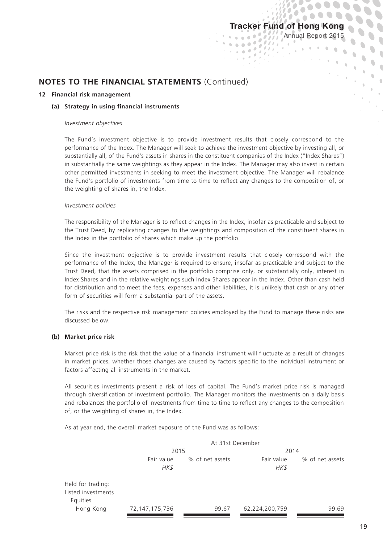ä  $1.000$  $\overline{a}$ **Tara** 

 $\theta$  $_{\rm s}$   $^{-1}$ 

 $\bullet$ 

 $\mathbf{v}_0$ 

 $\overline{1}$  $\frac{1}{2}$  $\hat{0}$ 

## **NOTES TO THE FINANCIAL STATEMENTS** (Continued)

#### **12 Financial risk management**

#### **(a) Strategy in using financial instruments**

#### *Investment objectives*

The Fund's investment objective is to provide investment results that closely correspond to the performance of the Index. The Manager will seek to achieve the investment objective by investing all, or substantially all, of the Fund's assets in shares in the constituent companies of the Index ("Index Shares") in substantially the same weightings as they appear in the Index. The Manager may also invest in certain other permitted investments in seeking to meet the investment objective. The Manager will rebalance the Fund's portfolio of investments from time to time to reflect any changes to the composition of, or the weighting of shares in, the Index.

#### *Investment policies*

The responsibility of the Manager is to reflect changes in the Index, insofar as practicable and subject to the Trust Deed, by replicating changes to the weightings and composition of the constituent shares in the Index in the portfolio of shares which make up the portfolio.

Since the investment objective is to provide investment results that closely correspond with the performance of the Index, the Manager is required to ensure, insofar as practicable and subject to the Trust Deed, that the assets comprised in the portfolio comprise only, or substantially only, interest in Index Shares and in the relative weightings such Index Shares appear in the Index. Other than cash held for distribution and to meet the fees, expenses and other liabilities, it is unlikely that cash or any other form of securities will form a substantial part of the assets.

The risks and the respective risk management policies employed by the Fund to manage these risks are discussed below.

#### **(b) Market price risk**

Market price risk is the risk that the value of a financial instrument will fluctuate as a result of changes in market prices, whether those changes are caused by factors specific to the individual instrument or factors affecting all instruments in the market.

All securities investments present a risk of loss of capital. The Fund's market price risk is managed through diversification of investment portfolio. The Manager monitors the investments on a daily basis and rebalances the portfolio of investments from time to time to reflect any changes to the composition of, or the weighting of shares in, the Index.

As at year end, the overall market exposure of the Fund was as follows:

|                                                     | At 31st December   |                 |                    |                 |
|-----------------------------------------------------|--------------------|-----------------|--------------------|-----------------|
|                                                     | 2015               |                 | 2014               |                 |
|                                                     | Fair value<br>HK\$ | % of net assets | Fair value<br>HK\$ | % of net assets |
| Held for trading:<br>Listed investments<br>Equities |                    |                 |                    |                 |
| - Hong Kong                                         | 72, 147, 175, 736  | 99.67           | 62,224,200,759     | 99.69           |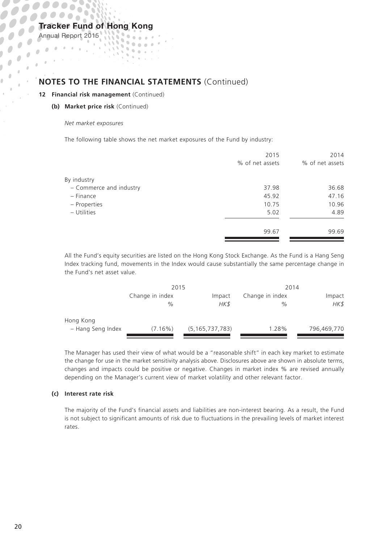Annual Report 2015

 $\overline{\phantom{a}}$ 

 $\begin{array}{c} \begin{array}{c} \begin{array}{c} \begin{array}{c} \end{array} \end{array} \end{array} \end{array} \end{array}$ 

 $\bar{\theta}$  $\alpha$ 

 $\frac{1}{2}$  $\overline{\phantom{a}}$  $\mathbf{r}$ 

## **NOTES TO THE FINANCIAL STATEMENTS** (Continued)

*Property* 

 $\mathbf{0}$  ,  $\mathbf{0}$  ,  $\mathbf{0}$  ,  $\mathbf{0}$ 

 $\mathbf{u}$ 

#### **12 Financial risk management** (Continued)

**(b) Market price risk** (Continued)

#### *Net market exposures*

The following table shows the net market exposures of the Fund by industry:

|                         | 2015            | 2014            |
|-------------------------|-----------------|-----------------|
|                         | % of net assets | % of net assets |
| By industry             |                 |                 |
| - Commerce and industry | 37.98           | 36.68           |
| - Finance               | 45.92           | 47.16           |
| - Properties            | 10.75           | 10.96           |
| - Utilities             | 5.02            | 4.89            |
|                         | 99.67           | 99.69           |
|                         |                 |                 |

All the Fund's equity securities are listed on the Hong Kong Stock Exchange. As the Fund is a Hang Seng Index tracking fund, movements in the Index would cause substantially the same percentage change in the Fund's net asset value.

|                   | 2015            |                    | 2014            |             |
|-------------------|-----------------|--------------------|-----------------|-------------|
|                   | Change in index | Impact             | Change in index | Impact      |
|                   | $\%$            | HK\$               | $\%$            | HK\$        |
| Hong Kong         |                 |                    |                 |             |
| - Hang Seng Index | $(7.16\%)$      | (5, 165, 737, 783) | 1.28%           | 796,469,770 |

The Manager has used their view of what would be a "reasonable shift" in each key market to estimate the change for use in the market sensitivity analysis above. Disclosures above are shown in absolute terms, changes and impacts could be positive or negative. Changes in market index % are revised annually depending on the Manager's current view of market volatility and other relevant factor.

#### **(c) Interest rate risk**

The majority of the Fund's financial assets and liabilities are non-interest bearing. As a result, the Fund is not subject to significant amounts of risk due to fluctuations in the prevailing levels of market interest rates.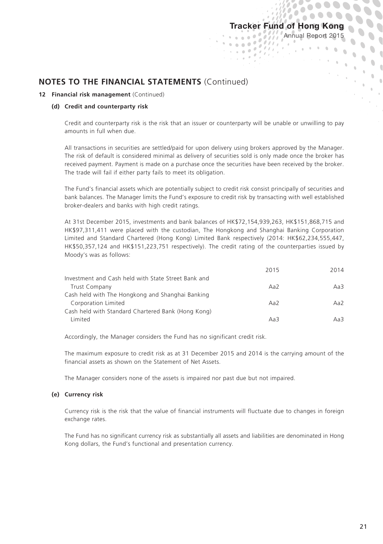$\overline{\ell}$ 

Annual Report 2015

 $\alpha$ 

 $\frac{1}{2}$  $\hat{0}$ 

## **NOTES TO THE FINANCIAL STATEMENTS** (Continued)

#### **12 Financial risk management** (Continued)

#### **(d) Credit and counterparty risk**

Credit and counterparty risk is the risk that an issuer or counterparty will be unable or unwilling to pay amounts in full when due.

 $\mathbf{v} = \mathbf{v} + \mathbf{v} + \mathbf{v}$ 

 $_{\rm s}$   $\rightarrow$ 

All transactions in securities are settled/paid for upon delivery using brokers approved by the Manager. The risk of default is considered minimal as delivery of securities sold is only made once the broker has received payment. Payment is made on a purchase once the securities have been received by the broker. The trade will fail if either party fails to meet its obligation.

The Fund's financial assets which are potentially subject to credit risk consist principally of securities and bank balances. The Manager limits the Fund's exposure to credit risk by transacting with well established broker-dealers and banks with high credit ratings.

At 31st December 2015, investments and bank balances of HK\$72,154,939,263, HK\$151,868,715 and HK\$97,311,411 were placed with the custodian, The Hongkong and Shanghai Banking Corporation Limited and Standard Chartered (Hong Kong) Limited Bank respectively (2014: HK\$62,234,555,447, HK\$50,357,124 and HK\$151,223,751 respectively). The credit rating of the counterparties issued by Moody's was as follows:

| 2015 | 2014 |
|------|------|
|      |      |
| Aa2  | Aa3  |
|      |      |
| Aa2  | Aa2  |
|      |      |
| Aa3  | Aa3  |
|      |      |

Accordingly, the Manager considers the Fund has no significant credit risk.

The maximum exposure to credit risk as at 31 December 2015 and 2014 is the carrying amount of the financial assets as shown on the Statement of Net Assets.

The Manager considers none of the assets is impaired nor past due but not impaired.

#### **(e) Currency risk**

Currency risk is the risk that the value of financial instruments will fluctuate due to changes in foreign exchange rates.

The Fund has no significant currency risk as substantially all assets and liabilities are denominated in Hong Kong dollars, the Fund's functional and presentation currency.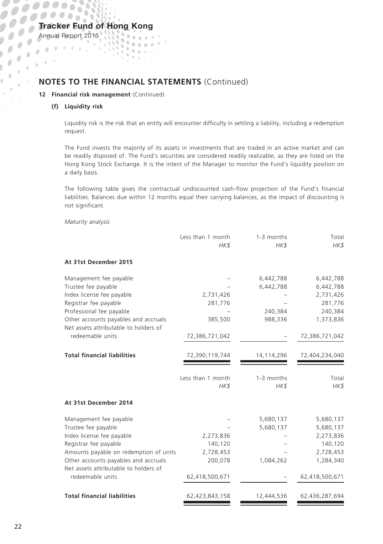## **NOTES TO THE FINANCIAL STATEMENTS** (Continued)

**STATISTICS**  $\alpha$  $\sim$ 

 $\mathbb{Q}_2$  $\eta$ 

#### **12 Financial risk management** (Continued)

#### **(f) Liquidity risk**

Annual Report 2015

 $\mathbf{r}$  $\frac{1}{2}$  .  $\bar{\theta}$ 

 $\lambda$ ÷

> Liquidity risk is the risk that an entity will encounter difficulty in settling a liability, including a redemption request.

> The Fund invests the majority of its assets in investments that are traded in an active market and can be readily disposed of. The Fund's securities are considered readily realizable, as they are listed on the Hong Kong Stock Exchange. It is the intent of the Manager to monitor the Fund's liquidity position on a daily basis.

> The following table gives the contractual undiscounted cash-flow projection of the Fund's financial liabilities. Balances due within 12 months equal their carrying balances, as the impact of discounting is not significant.

#### *Maturity analysis*

|                                                                               | Less than 1 month<br>HK\$ | 1-3 months<br>HK\$ | Total<br>HK\$  |
|-------------------------------------------------------------------------------|---------------------------|--------------------|----------------|
| At 31st December 2015                                                         |                           |                    |                |
| Management fee payable                                                        |                           | 6,442,788          | 6,442,788      |
| Trustee fee payable                                                           |                           | 6,442,788          | 6,442,788      |
| Index license fee payable                                                     | 2,731,426                 |                    | 2,731,426      |
| Registrar fee payable                                                         | 281,776                   |                    | 281,776        |
| Professional fee payable                                                      |                           | 240,384            | 240,384        |
| Other accounts payables and accruals                                          | 385,500                   | 988,336            | 1,373,836      |
| Net assets attributable to holders of<br>redeemable units                     |                           |                    |                |
|                                                                               | 72,386,721,042            |                    | 72,386,721,042 |
| <b>Total financial liabilities</b>                                            | 72,390,119,744            | 14,114,296         | 72,404,234,040 |
|                                                                               | Less than 1 month         | 1-3 months         | Total          |
|                                                                               | HK\$                      | HK\$               | HK\$           |
| At 31st December 2014                                                         |                           |                    |                |
| Management fee payable                                                        |                           | 5,680,137          | 5,680,137      |
| Trustee fee payable                                                           |                           | 5,680,137          | 5,680,137      |
| Index license fee payable                                                     | 2,273,836                 |                    | 2,273,836      |
| Registrar fee payable                                                         | 140,120                   |                    | 140,120        |
| Amounts payable on redemption of units                                        | 2,728,453                 |                    | 2,728,453      |
| Other accounts payables and accruals<br>Net assets attributable to holders of | 200,078                   | 1,084,262          | 1,284,340      |
| redeemable units                                                              | 62,418,500,671            |                    | 62,418,500,671 |
| <b>Total financial liabilities</b>                                            | 62,423,843,158            | 12,444,536         | 62,436,287,694 |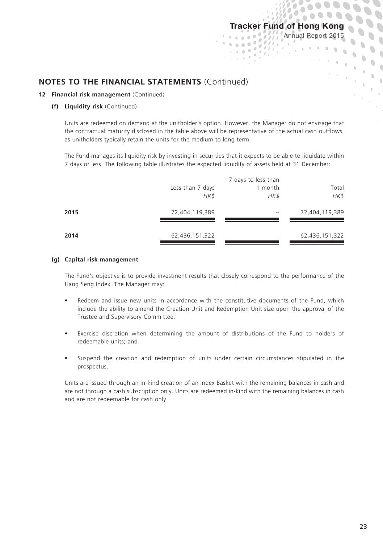ä 

> $\theta$  $_{\rm s}$   $^{-1}$

 $\mathcal{L} = \mathcal{L}$ 

 $\overline{\mathcal{E}}$  $\overline{a}$  $\overline{\ell}$ 

 $\ell$ ,

 $\alpha$  $\alpha$  $\alpha$  $\alpha$ 

 $\mathbb{R}_{>0}$  $\ddot{\phantom{a}}$ 

## **NOTES TO THE FINANCIAL STATEMENTS** (Continued)

#### **12 Financial risk management** (Continued)

#### **(f) Liquidity risk** (Continued)

Units are redeemed on demand at the unitholder's option. However, the Manager do not envisage that the contractual maturity disclosed in the table above will be representative of the actual cash outflows, as unitholders typically retain the units for the medium to long term.

The Fund manages its liquidity risk by investing in securities that it expects to be able to liquidate within 7 days or less. The following table illustrates the expected liquidity of assets held at 31 December:

|      | 7 days to less than |         |                |
|------|---------------------|---------|----------------|
|      | Less than 7 days    | 1 month | Total          |
|      | HK\$                | HK\$    | HK\$           |
| 2015 | 72,404,119,389      |         | 72,404,119,389 |
|      |                     |         |                |
| 2014 | 62,436,151,322      |         | 62,436,151,322 |

#### **(g) Capital risk management**

The Fund's objective is to provide investment results that closely correspond to the performance of the Hang Seng Index. The Manager may:

- Redeem and issue new units in accordance with the constitutive documents of the Fund, which include the ability to amend the Creation Unit and Redemption Unit size upon the approval of the Trustee and Supervisory Committee;
- Exercise discretion when determining the amount of distributions of the Fund to holders of redeemable units; and
- Suspend the creation and redemption of units under certain circumstances stipulated in the prospectus.

Units are issued through an in-kind creation of an Index Basket with the remaining balances in cash and are not through a cash subscription only. Units are redeemed in-kind with the remaining balances in cash and are not redeemable for cash only.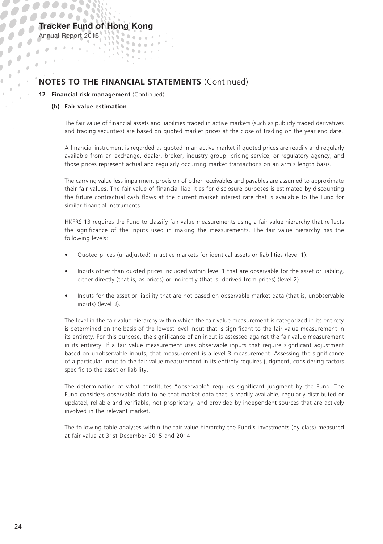### Tracker Fund of Hong Kong  $\mathbf{S} = \mathbf{S} \times \mathbf{S}$

Annual Report 2015

 $\mathbf{r}$  $\frac{1}{\sqrt{2}}$  $\bar{\theta}$ 

 $\lambda$ 

## **NOTES TO THE FINANCIAL STATEMENTS** (Continued)

 $\mathbf{v} = \mathbf{v} \cdot \mathbf{v}$ 

**STATISTICS**  $\alpha$ 

 $\mathbb{Q}_2$ 

#### **12 Financial risk management** (Continued)

#### **(h) Fair value estimation**

The fair value of financial assets and liabilities traded in active markets (such as publicly traded derivatives and trading securities) are based on quoted market prices at the close of trading on the year end date.

A financial instrument is regarded as quoted in an active market if quoted prices are readily and regularly available from an exchange, dealer, broker, industry group, pricing service, or regulatory agency, and those prices represent actual and regularly occurring market transactions on an arm's length basis.

The carrying value less impairment provision of other receivables and payables are assumed to approximate their fair values. The fair value of financial liabilities for disclosure purposes is estimated by discounting the future contractual cash flows at the current market interest rate that is available to the Fund for similar financial instruments.

HKFRS 13 requires the Fund to classify fair value measurements using a fair value hierarchy that reflects the significance of the inputs used in making the measurements. The fair value hierarchy has the following levels:

- Quoted prices (unadjusted) in active markets for identical assets or liabilities (level 1).
- Inputs other than quoted prices included within level 1 that are observable for the asset or liability, either directly (that is, as prices) or indirectly (that is, derived from prices) (level 2).
- Inputs for the asset or liability that are not based on observable market data (that is, unobservable inputs) (level 3).

The level in the fair value hierarchy within which the fair value measurement is categorized in its entirety is determined on the basis of the lowest level input that is significant to the fair value measurement in its entirety. For this purpose, the significance of an input is assessed against the fair value measurement in its entirety. If a fair value measurement uses observable inputs that require significant adjustment based on unobservable inputs, that measurement is a level 3 measurement. Assessing the significance of a particular input to the fair value measurement in its entirety requires judgment, considering factors specific to the asset or liability.

The determination of what constitutes "observable" requires significant judgment by the Fund. The Fund considers observable data to be that market data that is readily available, regularly distributed or updated, reliable and verifiable, not proprietary, and provided by independent sources that are actively involved in the relevant market.

The following table analyses within the fair value hierarchy the Fund's investments (by class) measured at fair value at 31st December 2015 and 2014.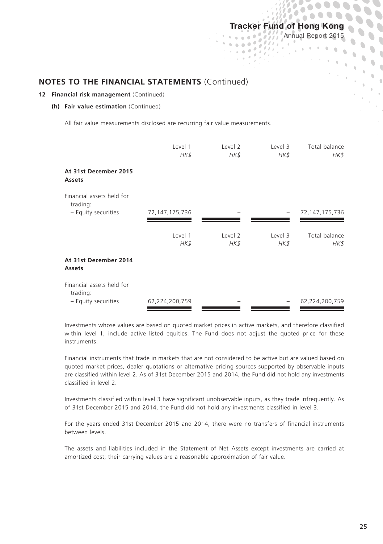## Tracker Fund of Hong Kong Annual Report 2015  $1.100$

ä

 $1.000$  $\overline{a}$ Tales. ó

 $\mathbb{R}^d$ 

 $\overline{\phantom{a}}$  $\ddot{\phantom{a}}$ 

 $\mathbf{C}$ 

 $\mathbb{F}_{\geq 0}$  $\bar{0}$ 

### **NOTES TO THE FINANCIAL STATEMENTS** (Continued)

#### **12 Financial risk management** (Continued)

#### **(h) Fair value estimation** (Continued)

All fair value measurements disclosed are recurring fair value measurements.

|                                                              | Level 1<br>HK\$   | Level 2<br>HK\$ | Level 3<br>HK\$ | Total balance<br>HK\$ |
|--------------------------------------------------------------|-------------------|-----------------|-----------------|-----------------------|
| At 31st December 2015<br><b>Assets</b>                       |                   |                 |                 |                       |
| Financial assets held for<br>trading:<br>- Equity securities | 72, 147, 175, 736 |                 |                 | 72, 147, 175, 736     |
|                                                              |                   |                 |                 |                       |
|                                                              | Level 1<br>HK\$   | Level 2<br>HK\$ | Level 3<br>HK\$ | Total balance<br>HK\$ |
| At 31st December 2014<br>Assets                              |                   |                 |                 |                       |
| Financial assets held for<br>trading:                        |                   |                 |                 |                       |
| - Equity securities                                          | 62,224,200,759    |                 |                 | 62,224,200,759        |

Investments whose values are based on quoted market prices in active markets, and therefore classified within level 1, include active listed equities. The Fund does not adjust the quoted price for these instruments.

Financial instruments that trade in markets that are not considered to be active but are valued based on quoted market prices, dealer quotations or alternative pricing sources supported by observable inputs are classified within level 2. As of 31st December 2015 and 2014, the Fund did not hold any investments classified in level 2.

Investments classified within level 3 have significant unobservable inputs, as they trade infrequently. As of 31st December 2015 and 2014, the Fund did not hold any investments classified in level 3.

For the years ended 31st December 2015 and 2014, there were no transfers of financial instruments between levels.

The assets and liabilities included in the Statement of Net Assets except investments are carried at amortized cost; their carrying values are a reasonable approximation of fair value.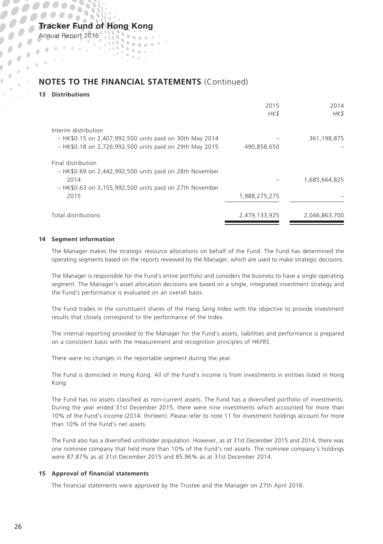## **NOTES TO THE FINANCIAL STATEMENTS** (Continued)

 $\mathbf{A} = \mathbf{A} \times \mathbf{A} \times \mathbf{A}$  $\mathbf{v} = \mathbf{v} \cdot \mathbf{v}$ 

gaar I

 $\mathbf{u}$ 

#### **13 Distributions**

Annual Report 2015

 $\mathbf{r}$  $\frac{1}{2}$  .  $\rightarrow$  $\mathcal{L}_{\mathcal{A}}$ 

|                                                                                                                                                              | 2015<br>HK\$  | 2014<br>HK\$  |
|--------------------------------------------------------------------------------------------------------------------------------------------------------------|---------------|---------------|
| Interim distribution<br>- HK\$0.15 on 2,407,992,500 units paid on 30th May 2014<br>- HK\$0.18 on 2,726,992,500 units paid on 29th May 2015                   | 490.858.650   | 361,198,875   |
| Final distribution<br>$-$ HK\$0.69 on 2,442,992,500 units paid on 28th November<br>2014<br>$-$ HK\$0.63 on 3,155,992,500 units paid on 27th November<br>2015 | 1,988,275,275 | 1,685,664,825 |
| Total distributions                                                                                                                                          | 2,479,133,925 | 2,046,863,700 |

#### **14 Segment information**

The Manager makes the strategic resource allocations on behalf of the Fund. The Fund has determined the operating segments based on the reports reviewed by the Manager, which are used to make strategic decisions.

The Manager is responsible for the Fund's entire portfolio and considers the business to have a single operating segment. The Manager's asset allocation decisions are based on a single, integrated investment strategy and the Fund's performance is evaluated on an overall basis.

The Fund trades in the constituent shares of the Hang Seng Index with the objective to provide investment results that closely correspond to the performance of the Index.

The internal reporting provided to the Manager for the Fund's assets, liabilities and performance is prepared on a consistent basis with the measurement and recognition principles of HKFRS.

There were no changes in the reportable segment during the year.

The Fund is domiciled in Hong Kong. All of the Fund's income is from investments in entities listed in Hong Kong.

The Fund has no assets classified as non-current assets. The Fund has a diversified portfolio of investments. During the year ended 31st December 2015, there were nine investments which accounted for more than 10% of the Fund's income (2014: thirteen). Please refer to note 11 for investment holdings account for more than 10% of the Fund's net assets.

The Fund also has a diversified unitholder population. However, as at 31st December 2015 and 2014, there was one nominee company that held more than 10% of the Fund's net assets. The nominee company's holdings were 87.87% as at 31st December 2015 and 85.96% as at 31st December 2014.

#### **15 Approval of financial statements**

The financial statements were approved by the Trustee and the Manager on 27th April 2016.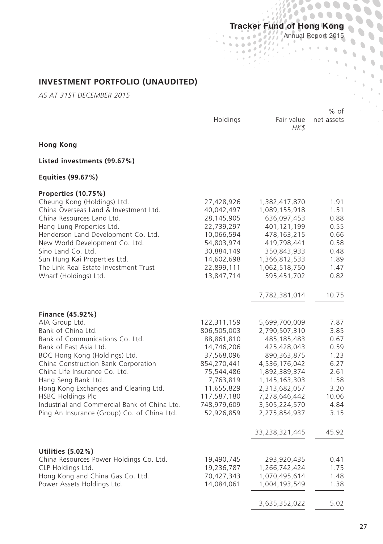$\ddot{\phantom{a}}$  $\Delta$ 

 $\lambda$ 

Annual Report 2015

 $\ddot{\phantom{a}}$  $\mathbf 0$  $\hat{0}$  $\alpha$  $\lambda$ 

**INVESTMENT PORTFOLIO (UNAUDITED)**

*AS AT 31ST DECEMBER 2015*

|                                                                                                                                                                                                                                                                                                                                                                                                                    |                                                                                                                                                                          |                                                                                                                                                                                                                      | % of                                                                                                   |
|--------------------------------------------------------------------------------------------------------------------------------------------------------------------------------------------------------------------------------------------------------------------------------------------------------------------------------------------------------------------------------------------------------------------|--------------------------------------------------------------------------------------------------------------------------------------------------------------------------|----------------------------------------------------------------------------------------------------------------------------------------------------------------------------------------------------------------------|--------------------------------------------------------------------------------------------------------|
|                                                                                                                                                                                                                                                                                                                                                                                                                    | Holdings                                                                                                                                                                 | Fair value<br>HK\$                                                                                                                                                                                                   | net assets                                                                                             |
| <b>Hong Kong</b>                                                                                                                                                                                                                                                                                                                                                                                                   |                                                                                                                                                                          |                                                                                                                                                                                                                      |                                                                                                        |
| Listed investments (99.67%)                                                                                                                                                                                                                                                                                                                                                                                        |                                                                                                                                                                          |                                                                                                                                                                                                                      |                                                                                                        |
| Equities (99.67%)                                                                                                                                                                                                                                                                                                                                                                                                  |                                                                                                                                                                          |                                                                                                                                                                                                                      |                                                                                                        |
| Properties (10.75%)<br>Cheung Kong (Holdings) Ltd.<br>China Overseas Land & Investment Ltd.<br>China Resources Land Ltd.<br>Hang Lung Properties Ltd.<br>Henderson Land Development Co. Ltd.<br>New World Development Co. Ltd.<br>Sino Land Co. Ltd.<br>Sun Hung Kai Properties Ltd.<br>The Link Real Estate Investment Trust<br>Wharf (Holdings) Ltd.                                                             | 27,428,926<br>40,042,497<br>28,145,905<br>22,739,297<br>10,066,594<br>54,803,974<br>30,884,149<br>14,602,698<br>22,899,111<br>13,847,714                                 | 1,382,417,870<br>1,089,155,918<br>636,097,453<br>401,121,199<br>478,163,215<br>419,798,441<br>350,843,933<br>1,366,812,533<br>1,062,518,750<br>595,451,702<br>7,782,381,014                                          | 1.91<br>1.51<br>0.88<br>0.55<br>0.66<br>0.58<br>0.48<br>1.89<br>1.47<br>0.82<br>10.75                  |
|                                                                                                                                                                                                                                                                                                                                                                                                                    |                                                                                                                                                                          |                                                                                                                                                                                                                      |                                                                                                        |
| Finance (45.92%)<br>AIA Group Ltd.<br>Bank of China Ltd.<br>Bank of Communications Co. Ltd.<br>Bank of East Asia Ltd.<br>BOC Hong Kong (Holdings) Ltd.<br>China Construction Bank Corporation<br>China Life Insurance Co. Ltd.<br>Hang Seng Bank Ltd.<br>Hong Kong Exchanges and Clearing Ltd.<br>HSBC Holdings Plc<br>Industrial and Commercial Bank of China Ltd.<br>Ping An Insurance (Group) Co. of China Ltd. | 122,311,159<br>806,505,003<br>88,861,810<br>14,746,206<br>37,568,096<br>854,270,441<br>75,544,486<br>7,763,819<br>11,655,829<br>117,587,180<br>748,979,609<br>52,926,859 | 5,699,700,009<br>2,790,507,310<br>485,185,483<br>425,428,043<br>890,363,875<br>4,536,176,042<br>1,892,389,374<br>1,145,163,303<br>2,313,682,057<br>7,278,646,442<br>3,505,224,570<br>2,275,854,937<br>33,238,321,445 | 7.87<br>3.85<br>0.67<br>0.59<br>1.23<br>6.27<br>2.61<br>1.58<br>3.20<br>10.06<br>4.84<br>3.15<br>45.92 |
| Utilities (5.02%)<br>China Resources Power Holdings Co. Ltd.<br>CLP Holdings Ltd.<br>Hong Kong and China Gas Co. Ltd.<br>Power Assets Holdings Ltd.                                                                                                                                                                                                                                                                | 19,490,745<br>19,236,787<br>70,427,343<br>14,084,061                                                                                                                     | 293,920,435<br>1,266,742,424<br>1,070,495,614<br>1,004,193,549<br>3,635,352,022                                                                                                                                      | 0.41<br>1.75<br>1.48<br>1.38<br>5.02                                                                   |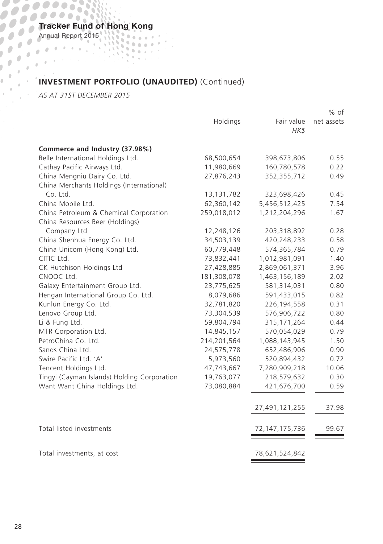Annual Report 2015

## **INVESTMENT PORTFOLIO (UNAUDITED)** (Continued) *AS AT 31ST DECEMBER 2015*

|                                             |              |                    | % of       |
|---------------------------------------------|--------------|--------------------|------------|
|                                             | Holdings     | Fair value<br>HK\$ | net assets |
| Commerce and Industry (37.98%)              |              |                    |            |
| Belle International Holdings Ltd.           | 68,500,654   | 398,673,806        | 0.55       |
| Cathay Pacific Airways Ltd.                 | 11,980,669   | 160,780,578        | 0.22       |
| China Mengniu Dairy Co. Ltd.                | 27,876,243   | 352,355,712        | 0.49       |
| China Merchants Holdings (International)    |              |                    |            |
| Co. Ltd.                                    | 13, 131, 782 | 323,698,426        | 0.45       |
| China Mobile Ltd.                           | 62,360,142   | 5,456,512,425      | 7.54       |
| China Petroleum & Chemical Corporation      | 259,018,012  | 1,212,204,296      | 1.67       |
| China Resources Beer (Holdings)             |              |                    |            |
| Company Ltd                                 | 12,248,126   | 203,318,892        | 0.28       |
| China Shenhua Energy Co. Ltd.               | 34,503,139   | 420,248,233        | 0.58       |
| China Unicom (Hong Kong) Ltd.               | 60,779,448   | 574,365,784        | 0.79       |
| CITIC Ltd.                                  | 73,832,441   | 1,012,981,091      | 1.40       |
| CK Hutchison Holdings Ltd                   | 27,428,885   | 2,869,061,371      | 3.96       |
| CNOOC Ltd.                                  | 181,308,078  | 1,463,156,189      | 2.02       |
| Galaxy Entertainment Group Ltd.             | 23,775,625   | 581,314,031        | 0.80       |
| Hengan International Group Co. Ltd.         | 8,079,686    | 591,433,015        | 0.82       |
| Kunlun Energy Co. Ltd.                      | 32,781,820   | 226, 194, 558      | 0.31       |
| Lenovo Group Ltd.                           | 73,304,539   | 576,906,722        | 0.80       |
| Li & Fung Ltd.                              | 59,804,794   | 315, 171, 264      | 0.44       |
| MTR Corporation Ltd.                        | 14,845,157   | 570,054,029        | 0.79       |
| PetroChina Co. Ltd.                         | 214,201,564  | 1,088,143,945      | 1.50       |
| Sands China Ltd.                            | 24,575,778   | 652,486,906        | 0.90       |
| Swire Pacific Ltd. 'A'                      | 5,973,560    | 520,894,432        | 0.72       |
| Tencent Holdings Ltd.                       | 47,743,667   | 7,280,909,218      | 10.06      |
| Tingyi (Cayman Islands) Holding Corporation | 19,763,077   | 218,579,632        | 0.30       |
| Want Want China Holdings Ltd.               | 73,080,884   | 421,676,700        | 0.59       |
|                                             |              | 27,491,121,255     | 37.98      |
| Total listed investments                    |              | 72, 147, 175, 736  | 99.67      |
| Total investments, at cost                  |              | 78,621,524,842     |            |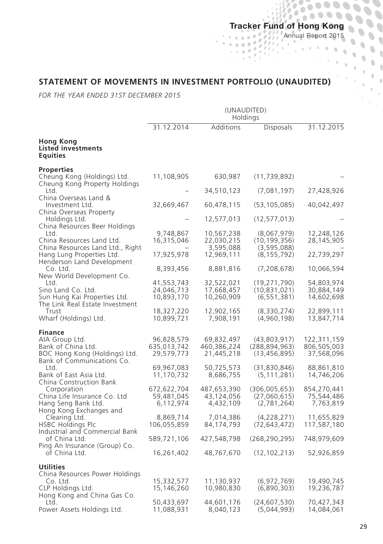$\frac{1}{2}$ 

 $\sigma$  $\sim$   $\sim$   $\sim$ J. Annual Report 2015

 $\ddot{\phantom{a}}$  $\overline{a}$  $\mathbf{r}$  $\lambda$ 

## **STATEMENT OF MOVEMENTS IN INVESTMENT PORTFOLIO (UNAUDITED)**

 $\Delta$ 

*FOR THE YEAR ENDED 31ST DECEMBER 2015*

|                                                                                                                                                                                                   | (UNAUDITED)<br>Holdings                                                            |                                                                                   |                                                                                                     |                                                                                     |
|---------------------------------------------------------------------------------------------------------------------------------------------------------------------------------------------------|------------------------------------------------------------------------------------|-----------------------------------------------------------------------------------|-----------------------------------------------------------------------------------------------------|-------------------------------------------------------------------------------------|
|                                                                                                                                                                                                   | 31.12.2014                                                                         | Additions                                                                         | <b>Disposals</b>                                                                                    | 31.12.2015                                                                          |
| Hong Kong<br>Listed investments<br><b>Equities</b>                                                                                                                                                |                                                                                    |                                                                                   |                                                                                                     |                                                                                     |
| <b>Properties</b><br>Cheung Kong (Holdings) Ltd.                                                                                                                                                  | 11,108,905                                                                         | 630,987                                                                           | (11, 739, 892)                                                                                      |                                                                                     |
| Cheung Kong Property Holdings<br>Ltd.                                                                                                                                                             |                                                                                    | 34,510,123                                                                        | (7,081,197)                                                                                         | 27,428,926                                                                          |
| China Overseas Land &<br>Investment Ltd.                                                                                                                                                          | 32,669,467                                                                         | 60,478,115                                                                        | (53, 105, 085)                                                                                      | 40,042,497                                                                          |
| China Overseas Property                                                                                                                                                                           |                                                                                    |                                                                                   |                                                                                                     |                                                                                     |
| Holdings Ltd.<br>China Resources Beer Holdings                                                                                                                                                    |                                                                                    | 12,577,013                                                                        | (12, 577, 013)                                                                                      |                                                                                     |
| Ltd.<br>China Resources Land Ltd.<br>China Resources Land Ltd., Right                                                                                                                             | 9,748,867<br>16,315,046                                                            | 10,567,238<br>22,030,215<br>3,595,088                                             | (8,067,979)<br>(10, 199, 356)<br>(3, 595, 088)                                                      | 12,248,126<br>28,145,905                                                            |
| Hang Lung Properties Ltd.                                                                                                                                                                         | 17,925,978                                                                         | 12,969,111                                                                        | (8, 155, 792)                                                                                       | 22,739,297                                                                          |
| Henderson Land Development<br>Co. Ltd.                                                                                                                                                            | 8,393,456                                                                          | 8,881,816                                                                         | (7,208,678)                                                                                         | 10,066,594                                                                          |
| New World Development Co.<br>Ltd.<br>Sino Land Co. Ltd.<br>Sun Hung Kai Properties Ltd.                                                                                                           | 41,553,743<br>24,046,713<br>10,893,170                                             | 32,522,021<br>17,668,457<br>10,260,909                                            | (19, 271, 790)<br>(10, 831, 021)<br>(6, 551, 381)                                                   | 54,803,974<br>30,884,149<br>14,602,698                                              |
| The Link Real Estate Investment<br>Trust<br>Wharf (Holdings) Ltd.                                                                                                                                 | 18,327,220<br>10,899,721                                                           | 12,902,165<br>7,908,191                                                           | (8,330,274)<br>(4,960,198)                                                                          | 22,899,111<br>13,847,714                                                            |
| <b>Finance</b><br>AIA Group Ltd.<br>Bank of China Ltd.<br>BOC Hong Kong (Holdings) Ltd.<br>Bank of Communications Co.<br>Ltd.<br>Bank of East Asia Ltd.<br>China Construction Bank<br>Corporation | 96,828,579<br>635,013,742<br>29,579,773<br>69,967,083<br>11,170,732<br>672,622,704 | 69,832,497<br>460,386,224<br>21,445,218<br>50,725,573<br>8,686,755<br>487,653,390 | (43,803,917)<br>(288, 894, 963)<br>(13, 456, 895)<br>(31,830,846)<br>(5, 111, 281)<br>(306,005,653) | 122,311,159<br>806,505,003<br>37,568,096<br>88,861,810<br>14,746,206<br>854,270,441 |
| China Life Insurance Co. Ltd<br>Hang Seng Bank Ltd.<br>Hong Kong Exchanges and                                                                                                                    | 59,481,045<br>6,112,974                                                            | 43,124,056<br>4,432,109                                                           | (27,060,615)<br>(2,781,264)                                                                         | 75,544,486<br>7,763,819                                                             |
| Clearing Ltd.<br>HSBC Holdings Plc<br>Industrial and Commercial Bank                                                                                                                              | 8,869,714<br>106,055,859                                                           | 7,014,386<br>84,174,793                                                           | (4,228,271)<br>(72, 643, 472)                                                                       | 11,655,829<br>117,587,180                                                           |
| of China Ltd.                                                                                                                                                                                     | 589,721,106                                                                        | 427,548,798                                                                       | (268, 290, 295)                                                                                     | 748,979,609                                                                         |
| Ping An Insurance (Group) Co.<br>of China Ltd.                                                                                                                                                    | 16,261,402                                                                         | 48,767,670                                                                        | (12, 102, 213)                                                                                      | 52,926,859                                                                          |
| <b>Utilities</b><br>China Resources Power Holdings<br>Co. Ltd.<br>CLP Holdings Ltd.<br>Hong Kong and China Gas Co.                                                                                | 15,332,577<br>15,146,260                                                           | 11,130,937<br>10,980,830                                                          | (6,972,769)<br>(6,890,303)                                                                          | 19,490,745<br>19,236,787                                                            |
| Ltd.<br>Power Assets Holdings Ltd.                                                                                                                                                                | 50,433,697<br>11,088,931                                                           | 44,601,176<br>8,040,123                                                           | (24, 607, 530)<br>(5,044,993)                                                                       | 70,427,343<br>14,084,061                                                            |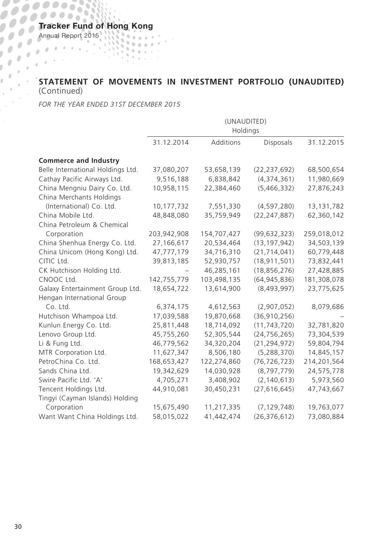Annual Report 2015

## **STATEMENT OF MOVEMENTS IN INVESTMENT PORTFOLIO (UNAUDITED)**  (Continued) *FOR THE YEAR ENDED 31ST DECEMBER 2015*

|                                   | (UNAUDITED) |             |                |             |  |
|-----------------------------------|-------------|-------------|----------------|-------------|--|
|                                   | Holdings    |             |                |             |  |
|                                   | 31.12.2014  | Additions   | Disposals      | 31.12.2015  |  |
| <b>Commerce and Industry</b>      |             |             |                |             |  |
| Belle International Holdings Ltd. | 37,080,207  | 53,658,139  | (22, 237, 692) | 68,500,654  |  |
| Cathay Pacific Airways Ltd.       | 9,516,188   | 6,838,842   | (4,374,361)    | 11,980,669  |  |
| China Mengniu Dairy Co. Ltd.      | 10,958,115  | 22,384,460  | (5,466,332)    | 27,876,243  |  |
| China Merchants Holdings          |             |             |                |             |  |
| (International) Co. Ltd.          | 10,177,732  | 7,551,330   | (4,597,280)    | 13,131,782  |  |
| China Mobile Ltd.                 | 48,848,080  | 35,759,949  | (22, 247, 887) | 62,360,142  |  |
| China Petroleum & Chemical        |             |             |                |             |  |
| Corporation                       | 203,942,908 | 154,707,427 | (99, 632, 323) | 259,018,012 |  |
| China Shenhua Energy Co. Ltd.     | 27,166,617  | 20,534,464  | (13, 197, 942) | 34,503,139  |  |
| China Unicom (Hong Kong) Ltd.     | 47,777,179  | 34,716,310  | (21, 714, 041) | 60,779,448  |  |
| CITIC Ltd.                        | 39,813,185  | 52,930,757  | (18, 911, 501) | 73,832,441  |  |
| CK Hutchison Holding Ltd.         |             | 46,285,161  | (18, 856, 276) | 27,428,885  |  |
| CNOOC Ltd.                        | 142,755,779 | 103,498,135 | (64, 945, 836) | 181,308,078 |  |
| Galaxy Entertainment Group Ltd.   | 18,654,722  | 13,614,900  | (8,493,997)    | 23,775,625  |  |
| Hengan International Group        |             |             |                |             |  |
| Co. Ltd.                          | 6,374,175   | 4,612,563   | (2,907,052)    | 8,079,686   |  |
| Hutchison Whampoa Ltd.            | 17,039,588  | 19,870,668  | (36, 910, 256) |             |  |
| Kunlun Energy Co. Ltd.            | 25,811,448  | 18,714,092  | (11, 743, 720) | 32,781,820  |  |
| Lenovo Group Ltd.                 | 45,755,260  | 52,305,544  | (24, 756, 265) | 73,304,539  |  |
| Li & Fung Ltd.                    | 46,779,562  | 34,320,204  | (21, 294, 972) | 59,804,794  |  |
| MTR Corporation Ltd.              | 11,627,347  | 8,506,180   | (5, 288, 370)  | 14,845,157  |  |
| PetroChina Co. Ltd.               | 168,653,427 | 122,274,860 | (76, 726, 723) | 214,201,564 |  |
| Sands China Ltd.                  | 19,342,629  | 14,030,928  | (8,797,779)    | 24,575,778  |  |
| Swire Pacific Ltd. 'A'            | 4,705,271   | 3,408,902   | (2, 140, 613)  | 5,973,560   |  |
| Tencent Holdings Ltd.             | 44,910,081  | 30,450,231  | (27, 616, 645) | 47,743,667  |  |
| Tingyi (Cayman Islands) Holding   |             |             |                |             |  |
| Corporation                       | 15,675,490  | 11,217,335  | (7, 129, 748)  | 19,763,077  |  |
| Want Want China Holdings Ltd.     | 58,015,022  | 41,442,474  | (26, 376, 612) | 73,080,884  |  |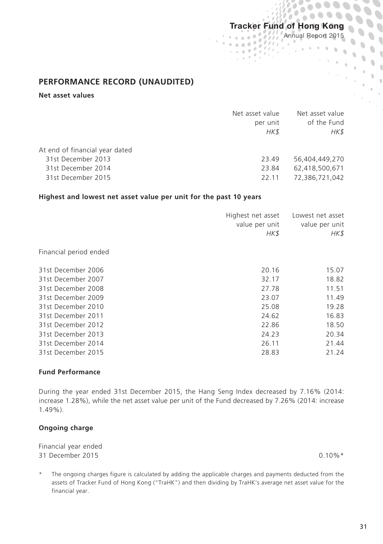$\mathcal{L}$ 

97,

 $\overline{a}$ 

'n

Annual Report 2015

 $\mathcal{N}(\mathcal{A})$ 

 $\frac{1}{2}$  .  $\hat{a}$ 

## **PERFORMANCE RECORD (UNAUDITED)**

## **Net asset values**

|                                                      | Net asset value<br>per unit<br>HK\$ | Net asset value<br>of the Fund<br>HK\$ |
|------------------------------------------------------|-------------------------------------|----------------------------------------|
| At end of financial year dated<br>31st December 2013 | 23.49                               | 56,404,449,270                         |
| 31st December 2014<br>31st December 2015             | 23.84<br>22.11                      | 62.418.500.671<br>72.386.721.042       |
|                                                      |                                     |                                        |

#### **Highest and lowest net asset value per unit for the past 10 years**

| Highest net asset<br>value per unit<br>HK\$ | Lowest net asset<br>value per unit<br>HK\$ |
|---------------------------------------------|--------------------------------------------|
|                                             |                                            |
| 20.16                                       | 15.07                                      |
| 32.17                                       | 18.82                                      |
| 27.78                                       | 11.51                                      |
| 23.07                                       | 11.49                                      |
| 25.08                                       | 19.28                                      |
| 24.62                                       | 16.83                                      |
| 22.86                                       | 18.50                                      |
| 24.23                                       | 20.34                                      |
| 26.11                                       | 21.44                                      |
| 28.83                                       | 21.24                                      |
|                                             |                                            |

#### **Fund Performance**

During the year ended 31st December 2015, the Hang Seng Index decreased by 7.16% (2014: increase 1.28%), while the net asset value per unit of the Fund decreased by 7.26% (2014: increase 1.49%).

### **Ongoing charge**

| Financial year ended |            |
|----------------------|------------|
| 31 December 2015     | $0.10\%$ * |

\* The ongoing charges figure is calculated by adding the applicable charges and payments deducted from the assets of Tracker Fund of Hong Kong ("TraHK") and then dividing by TraHK's average net asset value for the financial year.